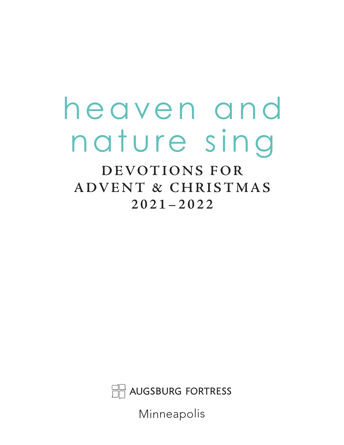# heaven and nature sing

**DEVOTIONS FOR ADVENT & CHRISTMAS 2021–2022**

AUGSBURG FORTRESS

Minneapolis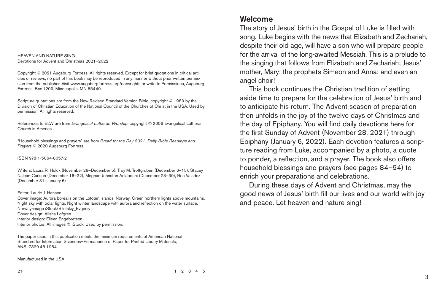HEAVEN AND NATURE SING Devotions for Advent and Christmas 2021–2022

Copyright © 2021 Augsburg Fortress. All rights reserved. Except for brief quotations in critical articles or reviews, no part of this book may be reproduced in any manner without prior written permission from the publisher. Visit www.augsburgfortress.org/copyrights or write to Permissions, Augsburg Fortress, Box 1209, Minneapolis, MN 55440.

Scripture quotations are from the New Revised Standard Version Bible, copyright © 1989 by the Division of Christian Education of the National Council of the Churches of Christ in the USA. Used by permission. All rights reserved.

References to ELW are from *Evangelical Lutheran Worship*, copyright © 2006 Evangelical Lutheran Church in America.

"Household blessings and prayers" are from *Bread for the Day 2021: Daily Bible Readings and Prayers* © 2020 Augsburg Fortress.

ISBN 978-1-5064-8057-2

Writers: Laura R. Holck (November 28–December 5), Troy M. Troftgruben (December 6–15), Stacey Nalean-Carlson (December 16–22), Meghan Johnston Aelabouni (December 23–30), Ron Valadez (December 31–January 6)

Editor: Laurie J. Hanson Cover image: Aurora borealis on the Lofoten islands, Norway. Green northern lights above mountains. Night sky with polar lights. Night winter landscape with aurora and reflection on the water surface. Norway-image iStock/Biletskiy\_Evgeniy Cover design: Alisha Lofgren Interior design: Eileen Engebretson Interior photos: All images © iStock. Used by permission.

The paper used in this publication meets the minimum requirements of American National Standard for Information Sciences—Permanence of Paper for Printed Library Materials, ANSI Z329.48-1984.

Manufactured in the USA.

#### Welcome

The story of Jesus' birth in the Gospel of Luke is filled with song. Luke begins with the news that Elizabeth and Zechariah, despite their old age, will have a son who will prepare people for the arrival of the long-awaited Messiah. This is a prelude to the singing that follows from Elizabeth and Zechariah; Jesus' mother, Mary; the prophets Simeon and Anna; and even an angel choir!

This book continues the Christian tradition of setting aside time to prepare for the celebration of Jesus' birth and to anticipate his return. The Advent season of preparation then unfolds in the joy of the twelve days of Christmas and the day of Epiphany. You will find daily devotions here for the first Sunday of Advent (November 28, 2021) through Epiphany (January 6, 2022). Each devotion features a scripture reading from Luke, accompanied by a photo, a quote to ponder, a reflection, and a prayer. The book also offers household blessings and prayers (see pages 84–94) to enrich your preparations and celebrations.

During these days of Advent and Christmas, may the good news of Jesus' birth fill our lives and our world with joy and peace. Let heaven and nature sing!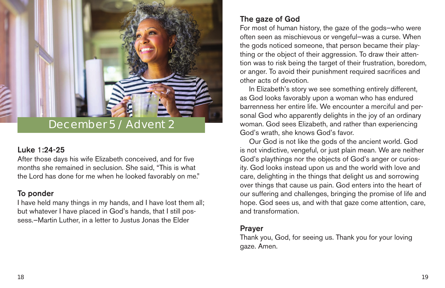#### Luke 1:24-25

After those days his wife Elizabeth conceived, and for five months she remained in seclusion. She said, "This is what the Lord has done for me when he looked favorably on me."

#### To ponder

I have held many things in my hands, and I have lost them all; but whatever I have placed in God's hands, that I still possess.—Martin Luther, in a letter to Justus Jonas the Elder

# December 5 / Advent 2

### The gaze of God

For most of human history, the gaze of the gods—who were often seen as mischievous or vengeful—was a curse. When the gods noticed someone, that person became their plaything or the object of their aggression. To draw their attention was to risk being the target of their frustration, boredom, or anger. To avoid their punishment required sacrifices and other acts of devotion.

In Elizabeth's story we see something entirely different, as God looks favorably upon a woman who has endured barrenness her entire life. We encounter a merciful and personal God who apparently delights in the joy of an ordinary woman. God sees Elizabeth, and rather than experiencing God's wrath, she knows God's favor.

Our God is not like the gods of the ancient world. God is not vindictive, vengeful, or just plain mean. We are neither God's playthings nor the objects of God's anger or curiosity. God looks instead upon us and the world with love and care, delighting in the things that delight us and sorrowing over things that cause us pain. God enters into the heart of our suffering and challenges, bringing the promise of life and hope. God sees us, and with that gaze come attention, care, and transformation.

### Prayer

Thank you, God, for seeing us. Thank you for your loving gaze. Amen.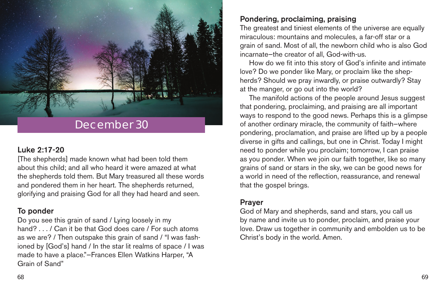#### Luke 2:17-20

[The shepherds] made known what had been told them about this child; and all who heard it were amazed at what the shepherds told them. But Mary treasured all these words and pondered them in her heart. The shepherds returned, glorifying and praising God for all they had heard and seen.

#### To ponder

Do you see this grain of sand / Lying loosely in my hand? . . . / Can it be that God does care / For such atoms as we are? / Then outspake this grain of sand / "I was fashioned by [God's] hand / In the star lit realms of space / I was made to have a place."—Frances Ellen Watkins Harper, "A Grain of Sand"



### Pondering, proclaiming, praising

The greatest and tiniest elements of the universe are equally miraculous: mountains and molecules, a far-off star or a grain of sand. Most of all, the newborn child who is also God incarnate—the creator of all, God-with-us.

How do we fit into this story of God's infinite and intimate love? Do we ponder like Mary, or proclaim like the shepherds? Should we pray inwardly, or praise outwardly? Stay at the manger, or go out into the world?

The manifold actions of the people around Jesus suggest that pondering, proclaiming, and praising are all important ways to respond to the good news. Perhaps this is a glimpse of another ordinary miracle, the community of faith—where pondering, proclamation, and praise are lifted up by a people diverse in gifts and callings, but one in Christ. Today I might need to ponder while you proclaim; tomorrow, I can praise as you ponder. When we join our faith together, like so many grains of sand or stars in the sky, we can be good news for a world in need of the reflection, reassurance, and renewal that the gospel brings.

#### Prayer

God of Mary and shepherds, sand and stars, you call us by name and invite us to ponder, proclaim, and praise your love. Draw us together in community and embolden us to be Christ's body in the world. Amen.